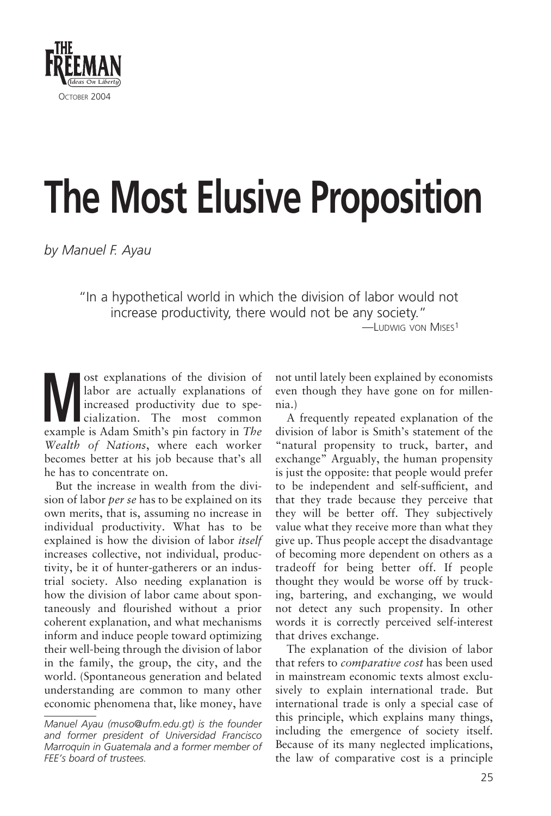

## **The Most Elusive Proposition**

*by Manuel F. Ayau*

"In a hypothetical world in which the division of labor would not increase productivity, there would not be any society."

—LUDWIG VON MISES1

**Most explanations of the division of labor are actually explanations of increased productivity due to specialization. The most common example is Adam Smith's nin foctory in The** labor are actually explanations of increased productivity due to specialization. The most common example is Adam Smith's pin factory in *The Wealth of Nations*, where each worker becomes better at his job because that's all he has to concentrate on.

But the increase in wealth from the division of labor *per se* has to be explained on its own merits, that is, assuming no increase in individual productivity. What has to be explained is how the division of labor *itself* increases collective, not individual, productivity, be it of hunter-gatherers or an industrial society. Also needing explanation is how the division of labor came about spontaneously and flourished without a prior coherent explanation, and what mechanisms inform and induce people toward optimizing their well-being through the division of labor in the family, the group, the city, and the world. (Spontaneous generation and belated understanding are common to many other economic phenomena that, like money, have

not until lately been explained by economists even though they have gone on for millennia.)

A frequently repeated explanation of the division of labor is Smith's statement of the "natural propensity to truck, barter, and exchange" Arguably, the human propensity is just the opposite: that people would prefer to be independent and self-sufficient, and that they trade because they perceive that they will be better off. They subjectively value what they receive more than what they give up. Thus people accept the disadvantage of becoming more dependent on others as a tradeoff for being better off. If people thought they would be worse off by trucking, bartering, and exchanging, we would not detect any such propensity. In other words it is correctly perceived self-interest that drives exchange.

The explanation of the division of labor that refers to *comparative cost* has been used in mainstream economic texts almost exclusively to explain international trade. But international trade is only a special case of this principle, which explains many things, including the emergence of society itself. Because of its many neglected implications, the law of comparative cost is a principle

*Manuel Ayau (muso@ufm.edu.gt) is the founder and former president of Universidad Francisco Marroquín in Guatemala and a former member of FEE's board of trustees.*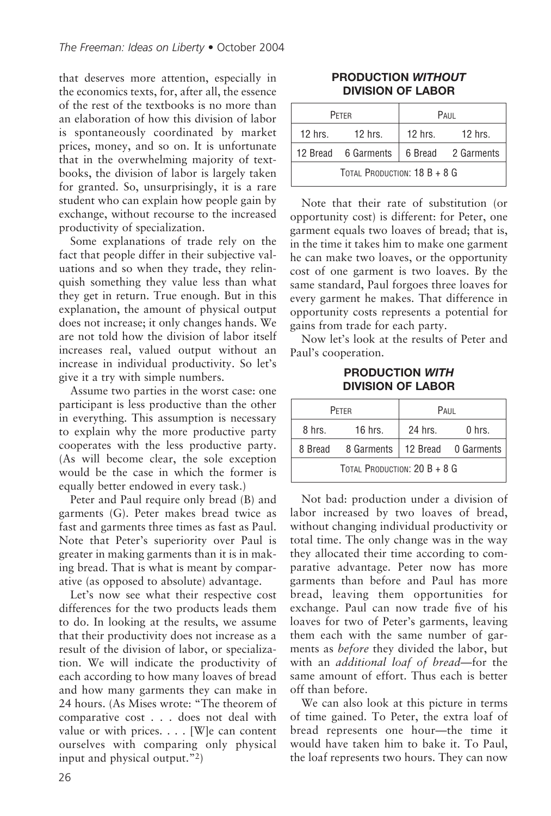that deserves more attention, especially in the economics texts, for, after all, the essence of the rest of the textbooks is no more than an elaboration of how this division of labor is spontaneously coordinated by market prices, money, and so on. It is unfortunate that in the overwhelming majority of textbooks, the division of labor is largely taken for granted. So, unsurprisingly, it is a rare student who can explain how people gain by exchange, without recourse to the increased productivity of specialization.

Some explanations of trade rely on the fact that people differ in their subjective valuations and so when they trade, they relinquish something they value less than what they get in return. True enough. But in this explanation, the amount of physical output does not increase; it only changes hands. We are not told how the division of labor itself increases real, valued output without an increase in individual productivity. So let's give it a try with simple numbers.

Assume two parties in the worst case: one participant is less productive than the other in everything. This assumption is necessary to explain why the more productive party cooperates with the less productive party. (As will become clear, the sole exception would be the case in which the former is equally better endowed in every task.)

Peter and Paul require only bread (B) and garments (G). Peter makes bread twice as fast and garments three times as fast as Paul. Note that Peter's superiority over Paul is greater in making garments than it is in making bread. That is what is meant by comparative (as opposed to absolute) advantage.

Let's now see what their respective cost differences for the two products leads them to do. In looking at the results, we assume that their productivity does not increase as a result of the division of labor, or specialization. We will indicate the productivity of each according to how many loaves of bread and how many garments they can make in 24 hours. (As Mises wrote: "The theorem of comparative cost . . . does not deal with value or with prices. . . . [W]e can content ourselves with comparing only physical input and physical output."2)

## **PRODUCTION** *WITHOUT* **DIVISION OF LABOR**

| PFTFR                        |                                          | PAUL |                 |  |  |
|------------------------------|------------------------------------------|------|-----------------|--|--|
|                              | 12 hrs. $12$ hrs.                        |      | 12 hrs. 12 hrs. |  |  |
|                              | 12 Bread 6 Garments   6 Bread 2 Garments |      |                 |  |  |
| TOTAL PRODUCTION: $18B + 8G$ |                                          |      |                 |  |  |

Note that their rate of substitution (or opportunity cost) is different: for Peter, one garment equals two loaves of bread; that is, in the time it takes him to make one garment he can make two loaves, or the opportunity cost of one garment is two loaves. By the same standard, Paul forgoes three loaves for every garment he makes. That difference in opportunity costs represents a potential for gains from trade for each party.

Now let's look at the results of Peter and Paul's cooperation.

**PRODUCTION** *WITH* **DIVISION OF LABOR**

| PFTFR                        |                                          | PAUL    |          |  |  |
|------------------------------|------------------------------------------|---------|----------|--|--|
| 8 hrs.                       | 16 hrs.                                  | 24 hrs. | $0$ hrs. |  |  |
|                              | 8 Bread 8 Garments   12 Bread 0 Garments |         |          |  |  |
| TOTAL PRODUCTION: 20 B + 8 G |                                          |         |          |  |  |

Not bad: production under a division of labor increased by two loaves of bread, without changing individual productivity or total time. The only change was in the way they allocated their time according to comparative advantage. Peter now has more garments than before and Paul has more bread, leaving them opportunities for exchange. Paul can now trade five of his loaves for two of Peter's garments, leaving them each with the same number of garments as *before* they divided the labor, but with an *additional loaf of bread*—for the same amount of effort. Thus each is better off than before.

We can also look at this picture in terms of time gained. To Peter, the extra loaf of bread represents one hour—the time it would have taken him to bake it. To Paul, the loaf represents two hours. They can now